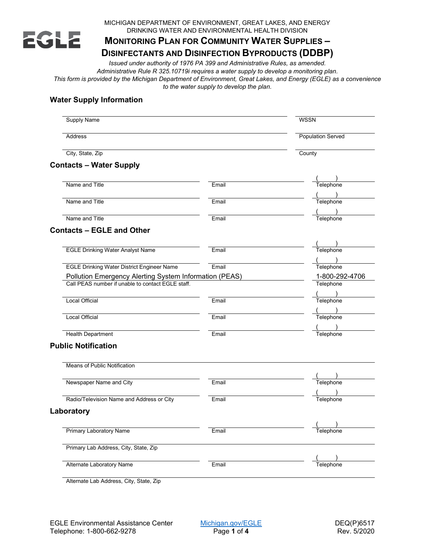

MICHIGAN DEPARTMENT OF ENVIRONMENT, GREAT LAKES, AND ENERGY DRINKING WATER AND ENVIRONMENTAL HEALTH DIVISION

# **MONITORING PLAN FOR COMMUNITY WATER SUPPLIES –**

## **DISINFECTANTS AND DISINFECTION BYPRODUCTS (DDBP)**

*Issued under authority of 1976 PA 399 and Administrative Rules, as amended. Administrative Rule R 325.10719i requires a water supply to develop a monitoring plan. This form is provided by the Michigan Department of Environment, Great Lakes, and Energy (EGLE) as a convenience to the water supply to develop the plan.*

## **Water Supply Information**

| <b>Supply Name</b>                                     |       | <b>WSSN</b><br><b>Population Served</b><br>County |  |
|--------------------------------------------------------|-------|---------------------------------------------------|--|
| Address                                                |       |                                                   |  |
| City, State, Zip                                       |       |                                                   |  |
| <b>Contacts - Water Supply</b>                         |       |                                                   |  |
| Name and Title                                         | Email | Telephone                                         |  |
|                                                        |       |                                                   |  |
| Name and Title                                         | Email | Telephone                                         |  |
| Name and Title                                         | Email | Telephone                                         |  |
| <b>Contacts - EGLE and Other</b>                       |       |                                                   |  |
|                                                        |       |                                                   |  |
| <b>EGLE Drinking Water Analyst Name</b>                | Email | Telephone                                         |  |
|                                                        |       |                                                   |  |
| <b>EGLE Drinking Water District Engineer Name</b>      | Email | Telephone                                         |  |
| Pollution Emergency Alerting System Information (PEAS) |       | 1-800-292-4706                                    |  |
| Call PEAS number if unable to contact EGLE staff.      |       | Telephone                                         |  |
|                                                        |       |                                                   |  |
| <b>Local Official</b>                                  | Email | Telephone                                         |  |
| Local Official                                         | Email | Telephone                                         |  |
|                                                        |       |                                                   |  |
| <b>Health Department</b>                               | Email | Telephone                                         |  |
| <b>Public Notification</b>                             |       |                                                   |  |
| Means of Public Notification                           |       |                                                   |  |
|                                                        |       |                                                   |  |
| Newspaper Name and City                                | Email | Telephone                                         |  |
|                                                        |       |                                                   |  |
| Radio/Television Name and Address or City              | Email | Telephone                                         |  |
| Laboratory                                             |       |                                                   |  |
|                                                        |       | $\sqrt{2}$                                        |  |
| <b>Primary Laboratory Name</b>                         | Email | Telephone                                         |  |
| Primary Lab Address, City, State, Zip                  |       |                                                   |  |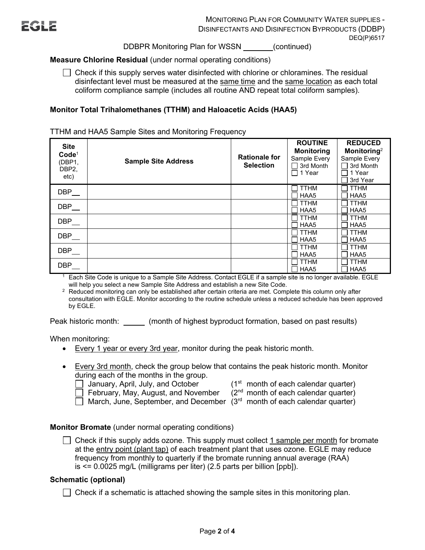DDBPR Monitoring Plan for WSSN (continued)

## **Measure Chlorine Residual** (under normal operating conditions)

Check if this supply serves water disinfected with chlorine or chloramines. The residual  $\Box$ disinfectant level must be measured at the same time and the same location as each total coliform compliance sample (includes all routine AND repeat total coliform samples).

## **Monitor Total Trihalomethanes (TTHM) and Haloacetic Acids (HAA5)**

TTHM and HAA5 Sample Sites and Monitoring Frequency

| <b>Site</b><br>Code <sup>1</sup><br>(DBP1,<br>DBP <sub>2</sub><br>etc) | <b>Sample Site Address</b> | <b>Rationale for</b><br><b>Selection</b> | <b>ROUTINE</b><br><b>Monitoring</b><br>Sample Every<br>3rd Month<br>□ 1 Year | <b>REDUCED</b><br>Monitoring <sup>2</sup><br>Sample Every<br>3rd Month<br>1 Year<br>3rd Year |
|------------------------------------------------------------------------|----------------------------|------------------------------------------|------------------------------------------------------------------------------|----------------------------------------------------------------------------------------------|
| DBP                                                                    |                            |                                          | <b>TTHM</b><br>HAA5                                                          | <b>TTHM</b><br>HAA5                                                                          |
| DBP                                                                    |                            |                                          | <b>TTHM</b><br>HAA5                                                          | <b>TTHM</b><br>HAA5                                                                          |
| DBP                                                                    |                            |                                          | <b>TTHM</b><br>HAA5                                                          | <b>TTHM</b><br>HAA5                                                                          |
| DBP                                                                    |                            |                                          | <b>TTHM</b><br>HAA5                                                          | <b>TTHM</b><br>HAA5                                                                          |
| DBP                                                                    |                            |                                          | <b>TTHM</b><br>HAA <sub>5</sub>                                              | <b>TTHM</b><br>HAA5                                                                          |
| DBP                                                                    |                            |                                          | <b>TTHM</b><br>HAA5                                                          | <b>TTHM</b><br>HAA5                                                                          |

 $1$  Each Site Code is unique to a Sample Site Address. Contact EGLE if a sample site is no longer available. EGLE will help you select a new Sample Site Address and establish a new Site Code.

<sup>2</sup> Reduced monitoring can only be established after certain criteria are met. Complete this column only after consultation with EGLE. Monitor according to the routine schedule unless a reduced schedule has been approved by EGLE.

Peak historic month: (month of highest byproduct formation, based on past results)

When monitoring:

- Every 1 year or every 3rd year, monitor during the peak historic month.
- Every 3rd month, check the group below that contains the peak historic month. Monitor during each of the months in the group.

◯ January, April, July, and October (1<sup>st</sup> month of each calendar quarter)<br>┌─ February, May, August, and November (2<sup>nd</sup> month of each calendar quarter)  $\Box$  February, May, August, and November

March, June, September, and December  $(3<sup>rd</sup>$  month of each calendar quarter)

#### **Monitor Bromate** (under normal operating conditions)

 $\Box$  Check if this supply adds ozone. This supply must collect 1 sample per month for bromate at the entry point (plant tap) of each treatment plant that uses ozone. EGLE may reduce frequency from monthly to quarterly if the bromate running annual average (RAA) is <= 0.0025 mg/L (milligrams per liter) (2.5 parts per billion [ppb]).

#### **Schematic (optional)**

 $\Box$  Check if a schematic is attached showing the sample sites in this monitoring plan.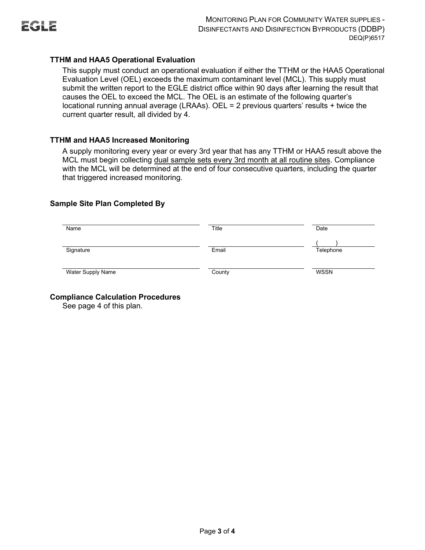

## **TTHM and HAA5 Operational Evaluation**

This supply must conduct an operational evaluation if either the TTHM or the HAA5 Operational Evaluation Level (OEL) exceeds the maximum contaminant level (MCL). This supply must submit the written report to the EGLE district office within 90 days after learning the result that causes the OEL to exceed the MCL. The OEL is an estimate of the following quarter's locational running annual average (LRAAs). OEL = 2 previous quarters' results + twice the current quarter result, all divided by 4.

## **TTHM and HAA5 Increased Monitoring**

A supply monitoring every year or every 3rd year that has any TTHM or HAA5 result above the MCL must begin collecting dual sample sets every 3rd month at all routine sites. Compliance with the MCL will be determined at the end of four consecutive quarters, including the quarter that triggered increased monitoring.

#### **Sample Site Plan Completed By**

| Name              | Title  | Date      |
|-------------------|--------|-----------|
| Signature         | Email  | Telephone |
| Water Supply Name | County | WSSN      |

## **Compliance Calculation Procedures**

See page 4 of this plan.